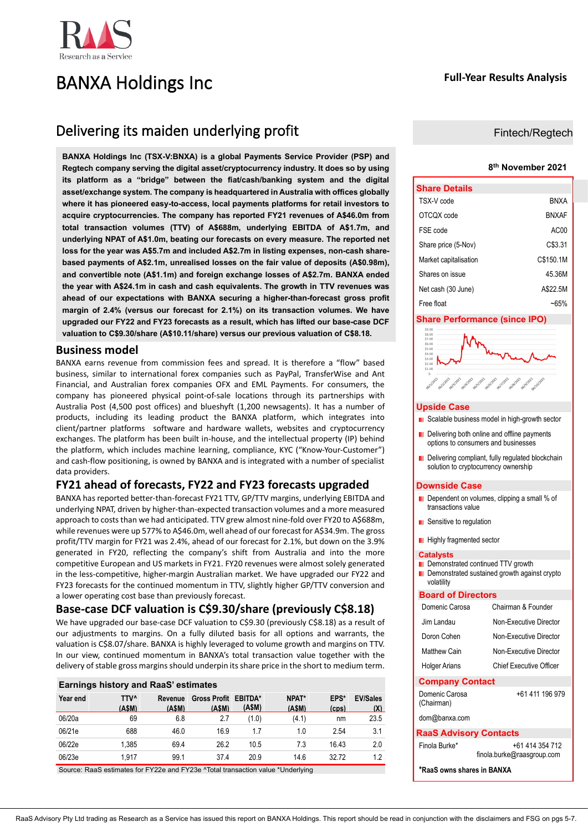

# BANXA Holdings Inc

# **Full-Year Results Analysis**

# Delivering its maiden underlying profit

**BANXA Holdings Inc (TSX-V:BNXA) is a global Payments Service Provider (PSP) and Regtech company serving the digital asset/cryptocurrency industry. It does so by using its platform as a "bridge" between the fiat/cash/banking system and the digital asset/exchange system. The company is headquartered in Australia with offices globally where it has pioneered easy-to-access, local payments platforms for retail investors to acquire cryptocurrencies. The company has reported FY21 revenues of A\$46.0m from total transaction volumes (TTV) of A\$688m, underlying EBITDA of A\$1.7m, and underlying NPAT of A\$1.0m, beating our forecasts on every measure. The reported net loss for the year was A\$5.7m and included A\$2.7m in listing expenses, non-cash sharebased payments of A\$2.1m, unrealised losses on the fair value of deposits (A\$0.98m), and convertible note (A\$1.1m) and foreign exchange losses of A\$2.7m. BANXA ended the year with A\$24.1m in cash and cash equivalents. The growth in TTV revenues was ahead of our expectations with BANXA securing a higher-than-forecast gross profit margin of 2.4% (versus our forecast for 2.1%) on its transaction volumes. We have upgraded our FY22 and FY23 forecasts as a result, which has lifted our base-case DCF valuation to C\$9.30/share (A\$10.11/share) versus our previous valuation of C\$8.18.**

## **Business model**

BANXA earns revenue from commission fees and spread. It is therefore a "flow" based business, similar to international forex companies such as PayPal, TransferWise and Ant Financial, and Australian forex companies OFX and EML Payments. For consumers, the company has pioneered physical point-of-sale locations through its partnerships with Australia Post (4,500 post offices) and blueshyft (1,200 newsagents). It has a number of products, including its leading product the BANXA platform, which integrates into client/partner platforms software and hardware wallets, websites and cryptocurrency exchanges. The platform has been built in-house, and the intellectual property (IP) behind the platform, which includes machine learning, compliance, KYC ("Know-Your-Customer") and cash-flow positioning, is owned by BANXA and is integrated with a number of specialist data providers.

# **FY21 ahead of forecasts, FY22 and FY23 forecasts upgraded**

BANXA has reported better-than-forecast FY21 TTV, GP/TTV margins, underlying EBITDA and underlying NPAT, driven by higher-than-expected transaction volumes and a more measured approach to costs than we had anticipated. TTV grew almost nine-fold over FY20 to A\$688m, while revenues were up 577% to A\$46.0m, well ahead of our forecast for A\$34.9m. The gross profit/TTV margin for FY21 was 2.4%, ahead of our forecast for 2.1%, but down on the 3.9% generated in FY20, reflecting the company's shift from Australia and into the more competitive European and US markets in FY21. FY20 revenues were almost solely generated in the less-competitive, higher-margin Australian market. We have upgraded our FY22 and FY23 forecasts for the continued momentum in TTV, slightly higher GP/TTV conversion and a lower operating cost base than previously forecast.

# **Base-case DCF valuation is C\$9.30/share (previously C\$8.18)**

We have upgraded our base-case DCF valuation to C\$9.30 (previously C\$8.18) as a result of our adjustments to margins. On a fully diluted basis for all options and warrants, the valuation is C\$8.07/share. BANXA is highly leveraged to volume growth and margins on TTV. In our view, continued momentum in BANXA's total transaction value together with the delivery of stable gross margins should underpin its share price in the short to medium term.

| <b>Earnings history and RaaS' estimates</b> |                      |                  |                               |       |                |               |                        |  |  |  |
|---------------------------------------------|----------------------|------------------|-------------------------------|-------|----------------|---------------|------------------------|--|--|--|
| Year end                                    | <b>TTV^</b><br>(ASM) | Revenue<br>(ASM) | Gross Profit EBITDA*<br>(ASM) | (ASM) | NPAT*<br>(ASM) | EPS*<br>(cos) | <b>EV/Sales</b><br>(X) |  |  |  |
| 06/20a                                      | 69                   | 6.8              | 2.7                           | (1.0) | (4.1)          | nm            | 23.5                   |  |  |  |
| 06/21e                                      | 688                  | 46.0             | 16.9                          | 1.7   | 1.0            | 2.54          | 3.1                    |  |  |  |
| 06/22e                                      | 1.385                | 69.4             | 26.2                          | 10.5  | 7.3            | 16.43         | 2.0                    |  |  |  |
| 06/23e                                      | 1.917                | 99.1             | 37.4                          | 20.9  | 14.6           | 32.72         | 12                     |  |  |  |

Source: RaaS estimates for FY22e and FY23e ^Total transaction value \*Underlying

### Fintech/Regtech

#### **8 th November 2021**

| <b>Share Details</b>  |              |
|-----------------------|--------------|
| TSX-V code            | <b>BNXA</b>  |
| OTCOX code            | <b>BNXAF</b> |
| FSF code              | AC00         |
| Share price (5-Nov)   | C\$3.31      |
| Market capitalisation | C\$150.1M    |
| Shares on issue       | 45.36M       |
| Net cash (30 June)    | A\$22.5M     |
| Free float            | ~65%         |

#### **Share Performance (since IPO)**

| \$9.00<br>\$8.00<br>\$7.00 |                                                                                                                                 |
|----------------------------|---------------------------------------------------------------------------------------------------------------------------------|
| \$6.00                     |                                                                                                                                 |
| \$5.00                     |                                                                                                                                 |
| \$4.00                     |                                                                                                                                 |
| \$3.00                     |                                                                                                                                 |
| \$2.00                     |                                                                                                                                 |
| \$1.00                     |                                                                                                                                 |
| ς.                         |                                                                                                                                 |
| ool.V.Pop                  | del <sup>3/2023</sup><br>oola/app2<br>dentitions<br>oe/2/2021<br>09/8/2021<br>oblighton.<br>06/5/2021<br>Delergozy<br>09/9/2021 |

#### **Upside Case**

- Scalable business model in high-growth sector
- Delivering both online and offline payments options to consumers and businesses
- Delivering compliant, fully regulated blockchain solution to cryptocurrency ownership

#### **Downside Case**

- Dependent on volumes, clipping a small % of transactions value
- **B** Sensitive to regulation
- **Highly fragmented sector**

#### **Catalysts**

- **Demonstrated continued TTV growth**
- Demonstrated sustained growth against crypto volatility

#### **Board of Directors**

| Domenic Carosa | Chairman & Founder             |
|----------------|--------------------------------|
| Jim Landau     | Non-Executive Director         |
| Doron Cohen    | Non-Executive Director         |
| Matthew Cain   | Non-Executive Director         |
| Holger Arians  | <b>Chief Executive Officer</b> |
|                |                                |

## **Company Contact**

+61 411 196 979

[dom@banxa.com](mailto:dom@banxa.com)

Domenic Carosa (Chairman)

### **RaaS Advisory Contacts**

| Finola Burke* | +61 414 354 712            |
|---------------|----------------------------|
|               | finola.burke@raasgroup.com |

**\*RaaS owns shares in BANXA**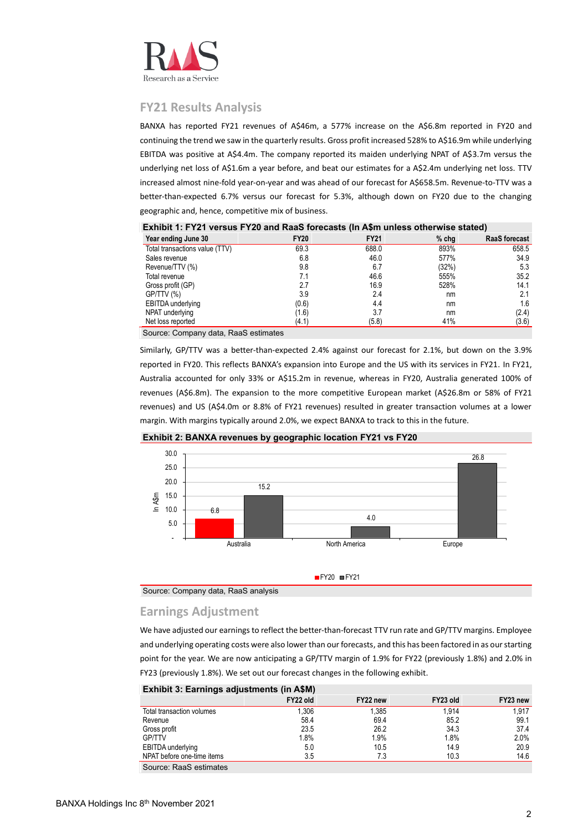

# **FY21 Results Analysis**

BANXA has reported FY21 revenues of A\$46m, a 577% increase on the A\$6.8m reported in FY20 and continuing the trend we saw in the quarterly results. Gross profit increased 528% to A\$16.9m while underlying EBITDA was positive at A\$4.4m. The company reported its maiden underlying NPAT of A\$3.7m versus the underlying net loss of A\$1.6m a year before, and beat our estimates for a A\$2.4m underlying net loss. TTV increased almost nine-fold year-on-year and was ahead of our forecast for A\$658.5m. Revenue-to-TTV was a better-than-expected 6.7% versus our forecast for 5.3%, although down on FY20 due to the changing geographic and, hence, competitive mix of business.

| EXIMPLE IT LET VEISUS FILED AND INAGO TOLECASIS (III AVIII UNIESS OUTERWISE SIATED) |             |             |         |                      |  |  |  |  |  |  |
|-------------------------------------------------------------------------------------|-------------|-------------|---------|----------------------|--|--|--|--|--|--|
| Year ending June 30                                                                 | <b>FY20</b> | <b>FY21</b> | $%$ chg | <b>RaaS</b> forecast |  |  |  |  |  |  |
| Total transactions value (TTV)                                                      | 69.3        | 688.0       | 893%    | 658.5                |  |  |  |  |  |  |
| Sales revenue                                                                       | 6.8         | 46.0        | 577%    | 34.9                 |  |  |  |  |  |  |
| Revenue/TTV (%)                                                                     | 9.8         | 6.7         | (32%)   | 5.3                  |  |  |  |  |  |  |
| Total revenue                                                                       | 7.1         | 46.6        | 555%    | 35.2                 |  |  |  |  |  |  |
| Gross profit (GP)                                                                   | 2.7         | 16.9        | 528%    | 14.1                 |  |  |  |  |  |  |
| GP/TTV (%)                                                                          | 3.9         | 2.4         | nm      | 2.1                  |  |  |  |  |  |  |
| EBITDA underlying                                                                   | (0.6)       | 4.4         | nm      | 1.6                  |  |  |  |  |  |  |
| NPAT underlying                                                                     | (1.6)       | 3.7         | nm      | (2.4)                |  |  |  |  |  |  |
| Net loss reported                                                                   | (4.1)       | (5.8)       | 41%     | (3.6)                |  |  |  |  |  |  |

**Exhibit 1: FY21 versus FY20 and RaaS forecasts (In A\$m unless otherwise stated)**

Source: Company data, RaaS estimates

Similarly, GP/TTV was a better-than-expected 2.4% against our forecast for 2.1%, but down on the 3.9% reported in FY20. This reflects BANXA's expansion into Europe and the US with its services in FY21. In FY21, Australia accounted for only 33% or A\$15.2m in revenue, whereas in FY20, Australia generated 100% of revenues (A\$6.8m). The expansion to the more competitive European market (A\$26.8m or 58% of FY21 revenues) and US (A\$4.0m or 8.8% of FY21 revenues) resulted in greater transaction volumes at a lower margin. With margins typically around 2.0%, we expect BANXA to track to this in the future.





Source: Company data, RaaS analysis

# **Earnings Adjustment**

We have adjusted our earnings to reflect the better-than-forecast TTV run rate and GP/TTV margins. Employee and underlying operating costs were also lower than our forecasts, and this has been factored in as our starting point for the year. We are now anticipating a GP/TTV margin of 1.9% for FY22 (previously 1.8%) and 2.0% in FY23 (previously 1.8%). We set out our forecast changes in the following exhibit.

| $F_{\text{min}}$           |          |          |          |          |
|----------------------------|----------|----------|----------|----------|
|                            | FY22 old | FY22 new | FY23 old | FY23 new |
| Total transaction volumes  | 1.306    | 1.385    | 1.914    | 1.917    |
| Revenue                    | 58.4     | 69.4     | 85.2     | 99.1     |
| Gross profit               | 23.5     | 26.2     | 34.3     | 37.4     |
| <b>GP/TTV</b>              | 1.8%     | 1.9%     | 1.8%     | 2.0%     |
| EBITDA underlying          | 5.0      | 10.5     | 14.9     | 20.9     |
| NPAT before one-time items | 3.5      | 7.3      | 10.3     | 14.6     |
| Source: RaaS estimates     |          |          |          |          |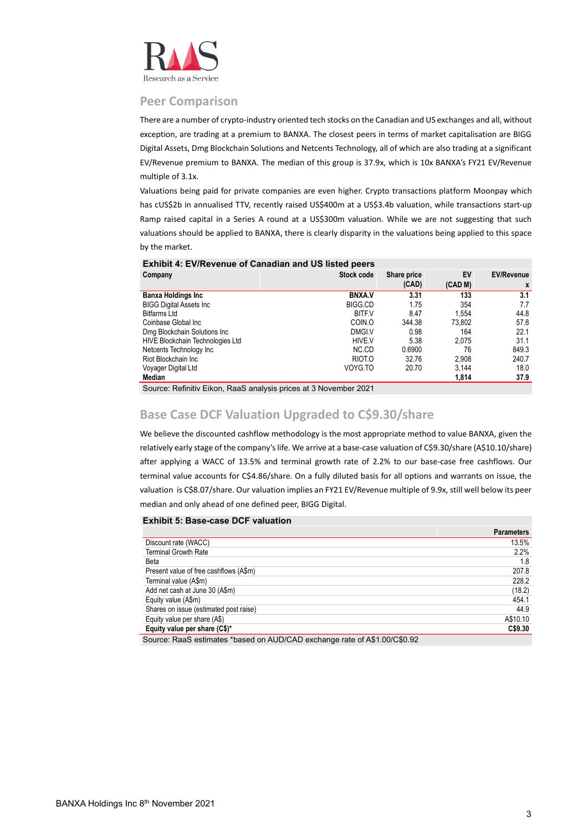

### **Peer Comparison**

There are a number of crypto-industry oriented tech stocks on the Canadian and US exchanges and all, without exception, are trading at a premium to BANXA. The closest peers in terms of market capitalisation are BIGG Digital Assets, Dmg Blockchain Solutions and Netcents Technology, all of which are also trading at a significant EV/Revenue premium to BANXA. The median of this group is 37.9x, which is 10x BANXA's FY21 EV/Revenue multiple of 3.1x.

Valuations being paid for private companies are even higher. Crypto transactions platform Moonpay which has cUS\$2b in annualised TTV, recently raised US\$400m at a US\$3.4b valuation, while transactions start-up Ramp raised capital in a Series A round at a US\$300m valuation. While we are not suggesting that such valuations should be applied to BANXA, there is clearly disparity in the valuations being applied to this space by the market.

#### **Exhibit 4: EV/Revenue of Canadian and US listed peers**

| Company                          | Stock code     | Share price | EV      | <b>EV/Revenue</b> |
|----------------------------------|----------------|-------------|---------|-------------------|
|                                  |                | (CAD)       | (CAD M) | X                 |
| <b>Banxa Holdings Inc</b>        | <b>BNXAV</b>   | 3.31        | 133     | 3.1               |
| <b>BIGG Digital Assets Inc</b>   | <b>BIGG.CD</b> | 1.75        | 354     | 7.7               |
| <b>Bitfarms Ltd</b>              | <b>BITF.V</b>  | 8.47        | 1.554   | 44.8              |
| Coinbase Global Inc              | COIN.O         | 344.38      | 73.802  | 57.8              |
| Dmg Blockchain Solutions Inc     | DMGI.V         | 0.98        | 164     | 22.1              |
| HIVE Blockchain Technologies Ltd | HIVE V         | 5.38        | 2.075   | 31.1              |
| Netcents Technology Inc          | NC.CD          | 0.6900      | 76      | 849.3             |
| Riot Blockchain Inc              | RIOT.O         | 32.76       | 2.908   | 240.7             |
| Voyager Digital Ltd              | VOYG.TO        | 20.70       | 3.144   | 18.0              |
| Median                           |                |             | 1.814   | 37.9              |

Source: Refinitiv Eikon, RaaS analysis prices at 3 November 2021

# **Base Case DCF Valuation Upgraded to C\$9.30/share**

We believe the discounted cashflow methodology is the most appropriate method to value BANXA, given the relatively early stage of the company's life. We arrive at a base-case valuation of C\$9.30/share (A\$10.10/share) after applying a WACC of 13.5% and terminal growth rate of 2.2% to our base-case free cashflows. Our terminal value accounts for C\$4.86/share. On a fully diluted basis for all options and warrants on issue, the valuation is C\$8.07/share. Our valuation implies an FY21 EV/Revenue multiple of 9.9x, still well below its peer median and only ahead of one defined peer, BIGG Digital.

#### **Exhibit 5: Base-case DCF valuation**

|                                                                        | <b>Parameters</b> |
|------------------------------------------------------------------------|-------------------|
| Discount rate (WACC)                                                   | 13.5%             |
| <b>Terminal Growth Rate</b>                                            | 2.2%              |
| Beta                                                                   | 1.8               |
| Present value of free cashflows (A\$m)                                 | 207.8             |
| Terminal value (A\$m)                                                  | 228.2             |
| Add net cash at June 30 (A\$m)                                         | (18.2)            |
| Equity value (A\$m)                                                    | 454.1             |
| Shares on issue (estimated post raise)                                 | 44.9              |
| Equity value per share (A\$)                                           | A\$10.10          |
| Equity value per share (C\$)*                                          | C\$9.30           |
| Course DeeC estimates thosed on AUDICAD evapones rate of AC1,001CCO,00 |                   |

Source: RaaS estimates \*based on AUD/CAD exchange rate of A\$1.00/C\$0.92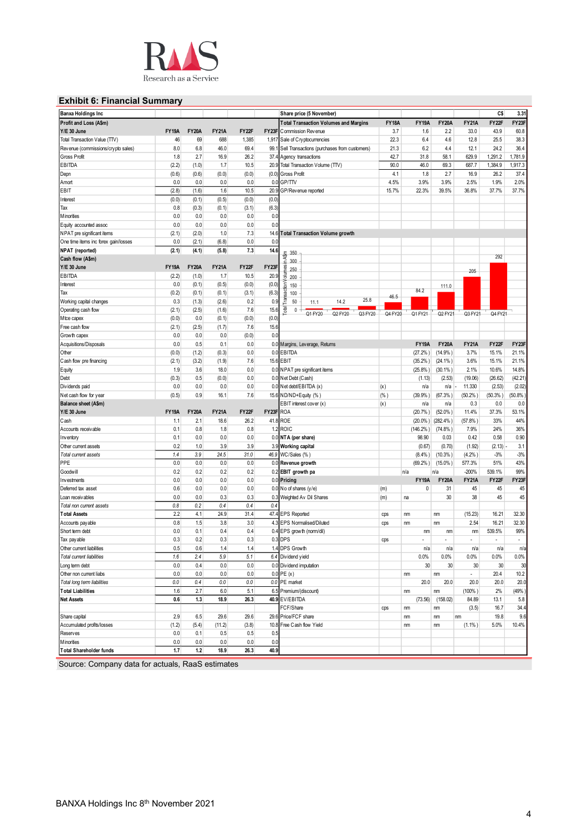

# **Exhibit 6: Financial Summary**

| <b>Banxa Holdings Inc</b>            |              |              |              |         |           | Share price (5 November)                          |              |              |              |                          | C\$          | 3.31         |
|--------------------------------------|--------------|--------------|--------------|---------|-----------|---------------------------------------------------|--------------|--------------|--------------|--------------------------|--------------|--------------|
| Profit and Loss (A\$m)               |              |              |              |         |           | <b>Total Transaction Volumes and Margins</b>      | <b>FY18A</b> | <b>FY19A</b> | <b>FY20A</b> | <b>FY21A</b>             | FY22F        | FY23F        |
| Y/E 30 June                          | <b>FY19A</b> | <b>FY20A</b> | <b>FY21A</b> | FY22F   |           | <b>FY23F</b> Commission Revenue                   | 3.7          | 1.6          | 2.2          | 33.0                     | 43.9         | 60.8         |
| Total Transaction Value (TTV)        | 46           | 69           | 688          | 1,385   |           | 1,917 Sale of Cry ptocurrencies                   | 22.3         | 6.4          | 4.6          | 12.8                     | 25.5         | 38.3         |
| Revenue (commissions/crypto sales)   | 8.0          | 6.8          | 46.0         | 69.4    |           | 99.1 Sell Transactions (purchases from customers) | 21.3         | 6.2          | 4.4          | 12.1                     | 24.2         | 36.4         |
| Gross Profit                         | 1.8          | 2.7          | 16.9         | 26.2    |           | 37.4 Agency transactions                          | 42.7         | 31.8         | 58.1         | 629.9                    | 1,291.2      | 1,781.9      |
| <b>EBITDA</b>                        | (2.2)        | (1.0)        | 1.7          | 10.5    |           | 20.9 Total Transaction Volume (TTV)               | 90.0         | 46.0         | 69.3         | 687.7                    | 1,384.9      | 1,917.3      |
| Depn                                 | (0.6)        | (0.6)        | (0.0)        | (0.0)   | (0.0)     | Gross Profit                                      | 4.1          | 1.8          | 2.7          | 16.9                     | 26.2         | 37.4         |
| Amort                                | 0.0          | 0.0          | 0.0          | 0.0     |           | 0.0 GP/TTV                                        | 4.5%         | 3.9%         | 3.9%         | 2.5%                     | 1.9%         | 2.0%         |
| EBIT                                 | (2.8)        | (1.6)        | 1.6          | 10.5    | 20.9      | GP/Revenue reported                               | 15.7%        | 22.3%        | 39.5%        | 36.8%                    | 37.7%        | 37.7%        |
| Interest                             | (0.0)        | (0.1)        | (0.5)        | (0.0)   | (0.0)     |                                                   |              |              |              |                          |              |              |
| Tax                                  | 0.8          | (0.3)        | (0.1)        | (3.1)   | (6.3)     |                                                   |              |              |              |                          |              |              |
| Minorities                           | 0.0          | 0.0          | 0.0          | 0.0     | 0.0       |                                                   |              |              |              |                          |              |              |
| Equity accounted assoc               | 0.0          | 0.0          | 0.0          | 0.0     | 0.0       |                                                   |              |              |              |                          |              |              |
| NPAT pre significant items           | (2.1)        | (2.0)        | 1.0          | 7.3     | 14.6      | <b>Total Transaction Volume growth</b>            |              |              |              |                          |              |              |
| One time items inc forex gain/losses | 0.0          | (2.1)        | (6.8)        | 0.0     | 0.0       |                                                   |              |              |              |                          |              |              |
| NPAT (reported)                      | (2.1)        | (4.1)        | (5.8)        | 7.3     | 14.6      |                                                   |              |              |              |                          |              |              |
| Cash flow (A\$m)                     |              |              |              |         |           | 350<br>in A\$m                                    |              |              |              |                          | 292          |              |
| Y/E 30 June                          | <b>FY19A</b> | <b>FY20A</b> | <b>FY21A</b> | FY22F   | FY23F     | 300                                               |              |              |              |                          |              |              |
| EBITDA                               | (2.2)        | (1.0)        | 1.7          | 10.5    | 20.9      | nes<br>250<br>200                                 |              |              |              | 205                      |              |              |
| Interest                             | 0.0          | (0.1)        | (0.5)        | (0.0)   | (0.0)     | 호<br>$\overline{5}$<br>150                        |              |              |              |                          |              |              |
| Tax                                  | (0.2)        | (0.1)        | (0.1)        | (3.1)   | (6.3)     | sact<br>100                                       |              | 84.2         | 111.0        |                          |              |              |
| Working capital changes              | 0.3          | (1.3)        | (2.6)        | 0.2     | 0.9       | Trar<br>25.8<br>50<br>14.2                        | 46.5         |              |              |                          |              |              |
| Operating cash flow                  | (2.1)        | (2.5)        | (1.6)        | 7.6     | 15.6      | 11.1<br><b>Total</b><br>$0 -$                     |              |              |              |                          |              |              |
| Mtce capex                           | (0.0)        | 0.0          | (0.1)        | (0.0)   | (0.0)     | Q1 FY20<br>Q2 FY20<br>Q3 FY20                     | Q4 FY20      | Q1 FY21      | Q2 FY21      | Q3 FY21                  | Q4 FY21      |              |
| Free cash flow                       | (2.1)        | (2.5)        | (1.7)        | 7.6     | 15.6      |                                                   |              |              |              |                          |              |              |
| Growth capex                         | 0.0          | 0.0          | 0.0          | (0.0)   | 0.0       |                                                   |              |              |              |                          |              |              |
| Acquisitions/Disposals               | 0.0          | 0.5          | 0.1          | 0.0     |           | 0.0 Margins, Leverage, Returns                    |              | <b>FY19A</b> | <b>FY20A</b> | <b>FY21A</b>             | FY22F        | FY23F        |
| Other                                | (0.0)        | (1.2)        | (0.3)        | 0.0     |           | 0.0 EBITDA                                        |              | (27.2% )     | (14.9% )     | 3.7%                     | 15.1%        | 21.1%        |
| Cash flow pre financing              | (2.1)        | (3.2)        | (1.9)        | 7.6     |           | 15.6 EBIT                                         |              | (35.2%)      | $(24.1\%)$   | 3.6%                     | 15.1%        | 21.1%        |
|                                      | 1.9          | 3.6          | 18.0         | 0.0     |           | 0.0 NPAT pre significant items                    |              |              |              | 2.1%                     | 10.6%        | 14.8%        |
| Equity                               |              | 0.5          |              | 0.0     |           | 0.0 Net Debt (Cash)                               |              | $(25.8\%)$   | $(30.1\%)$   |                          |              | (42.21)      |
| Debt                                 | (0.3)        | 0.0          | (0.0)<br>0.0 | 0.0     |           |                                                   |              | (1.13)       | (2.53)       | (19.06)                  | (26.62)      |              |
| Dividends paid                       | 0.0          | 0.9          |              |         |           | 0.0 Net debt/EBITDA (x)                           | (x)          | n/a          | n/a          | 11.330                   | (2.53)       | (2.02)       |
| Net cash flow for year               | (0.5)        |              | 16.1         | 7.6     |           | 15.6 ND/ND+Equity (%)                             | (% )         | (39.9% )     | (67.3%)      | (50.2%)                  | (50.3% )     | (50.8%       |
| <b>Balance sheet (A\$m)</b>          |              |              |              |         |           | EBIT interest cover (x)                           | (x)          | n/a          | n/a          | 0.3<br>11.4%             | 0.0<br>37.3% | 0.0<br>53.1% |
| Y/E 30 June                          | <b>FY19A</b> | <b>FY20A</b> | <b>FY21A</b> | FY22F   | FY23F ROA |                                                   |              | (20.7%       | $(52.0\%)$   |                          |              |              |
| Cash                                 | 1.1          | 2.1          | 18.6         | 26.2    |           | 41.8 ROE                                          |              | $(20.0\%$ )  | $(282.4\%)$  | (57.8% )                 | 33%          | 44%          |
| Accounts receivable                  | 0.1          | 0.8          | 1.8          | 0.8     |           | 1.2 ROIC                                          |              | $(146.2\%)$  | $(74.8\%)$   | 7.9%                     | 24%          | 36%<br>0.90  |
| Inventory                            | 0.1          | 0.0          | 0.0          | 0.0     |           | 0.0 NTA (per share)                               |              | 98.90        | 0.03         | 0.42                     | 0.58         |              |
| Other current assets                 | 0.2          | 1.0          | 3.9          | 3.9     |           | 3.9 Working capital                               |              | (0.67)       | (0.70)       | (1.92)                   | (2.13)       | 3.1          |
| Total current assets                 | 1.4          | 3.9          | 24.5         | 31.0    |           | 46.9 WC/Sales (%)                                 |              | (8.4%)       | (10.3% )     | (4.2%                    | $-3%$        | $-3%$        |
| PPE                                  | 0.0          | 0.0          | 0.0          | $0.0\,$ |           | 0.0 Revenue growth                                |              | (69.2%)      | $(15.0\%)$   | 577.3%                   | 51%          | 43%          |
| Goodwill                             | 0.2          | 0.2          | 0.2          | 0.2     |           | 0.2 EBIT growth pa                                |              | n/a          | n/a          | $-200%$                  | 539.1%       | 99%          |
| Investments                          | 0.0          | 0.0          | 0.0          | 0.0     |           | 0.0 Pricing                                       |              | <b>FY19A</b> | <b>FY20A</b> | <b>FY21A</b>             | FY22F        | FY23F        |
| Deferred tax asset                   | 0.6          | 0.0          | 0.0          | 0.0     |           | $0.0$ No of shares (y/e)                          | (m)          | 0            | 31           | 45                       | 45           | 45           |
| Loan receivables                     | 0.0          | 0.0          | 0.3          | 0.3     |           | 0.3 Weighted Av Dil Shares                        | (m)          | na           | 30           | 38                       | 45           | 45           |
| Total non current assets             | 0.8          | 0.2          | 0.4          | 0.4     | 0.4       |                                                   |              |              |              |                          |              |              |
| <b>Total Assets</b>                  | 2.2          | 4.1          | 24.9         | 31.4    |           | 47.4 EPS Reported                                 | cps          | nm           | nm           | (15.23)                  | 16.21        | 32.30        |
| Accounts pay able                    | 0.8          | 1.5          | 3.8          | 3.0     |           | 4.3 EPS Normalised/Diluted                        | cps          | nm           | nm           | 2.54                     | 16.21        | 32.30        |
| Short term debt                      | 0.0          | 0.1          | 0.4          | 0.4     |           | 0.4 EPS growth (norm/dil)                         |              | nm           | nm           | nm                       | 539.5%       | 99%          |
| Tax payable                          | 0.3          | 0.2          | 0.3          | 0.3     |           | $0.3$ DPS                                         | cps          |              |              |                          | ٠            |              |
| Other current liabilities            | 0.5          | 0.6          | 1.4          | 1.4     |           | 1.4 DPS Growth                                    |              | n/a          | n/a          | n/a                      | n/a          | n/ε          |
| <b>Total current liabilities</b>     | $1.6\,$      | 2.4          | 5.9          | 5.1     |           | 6.4 Dividend yield                                |              | 0.0%         | 0.0%         | 0.0%                     | $0.0\%$      | 0.0%         |
| Long term debt                       | 0.0          | 0.4          | 0.0          | 0.0     |           | 0.0 Dividend imputation                           |              | 30           | 30           | 30                       | 30           | 30           |
| Other non current liabs              | 0.0          | 0.0          | 0.0          | 0.0     |           | $0.0$ PE $(x)$                                    |              | nm           | nm           | $\overline{\phantom{a}}$ | 20.4         | 10.2         |
| Total long term liabilities          | 0.0          | 0.4          | 0.0          | $0.0\,$ |           | 0.0 PE market                                     |              | 20.0         | 20.0         | 20.0                     | 20.0         | 20.0         |
| <b>Total Liabilities</b>             | 1.6          | 2.7          | 6.0          | 5.1     |           | 6.5 Premium/(discount)                            |              | nm           | nm           | (100% )                  | 2%           | (49%         |
| <b>Net Assets</b>                    | 0.6          | 1.3          | 18.9         | 26.3    |           | 40.9 EV/EBITDA                                    |              | (73.56)      | (158.02)     | 84.89                    | 13.1         | 5.8          |
|                                      |              |              |              |         |           | FCF/Share                                         | cps          | nm           | nm           | (3.5)                    | 16.7         | 34.4         |
| Share capital                        | 2.9          | 6.5          | 29.6         | 29.6    |           | 29.6 Price/FCF share                              |              | nm           | nm           | nm                       | 19.8         | 9.6          |
| Accumulated profits/losses           | (1.2)        | (5.4)        | (11.2)       | (3.8)   |           | 10.8 Free Cash flow Yield                         |              | nm           | nm           | $(1.1\%)$                | 5.0%         | 10.4%        |
| Reserves                             | 0.0          | 0.1          | 0.5          | 0.5     | 0.5       |                                                   |              |              |              |                          |              |              |
| Minorities                           | 0.0          | 0.0          | 0.0          | 0.0     | 0.0       |                                                   |              |              |              |                          |              |              |
|                                      |              |              |              |         | 40.9      |                                                   |              |              |              |                          |              |              |

Source: Company data for actuals, RaaS estimates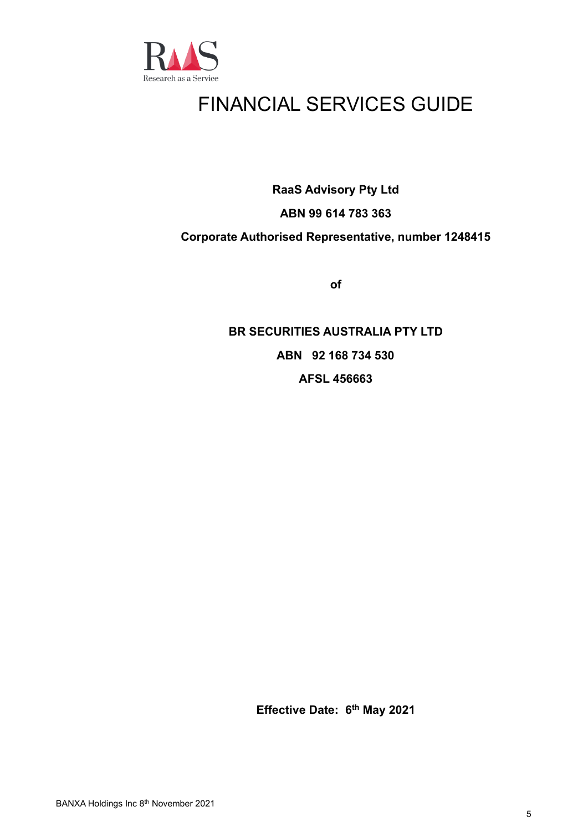

# FINANCIAL SERVICES GUIDE

**RaaS Advisory Pty Ltd**

# **ABN 99 614 783 363**

# **Corporate Authorised Representative, number 1248415**

**of**

# **BR SECURITIES AUSTRALIA PTY LTD ABN 92 168 734 530 AFSL 456663**

**Effective Date: 6 th May 2021**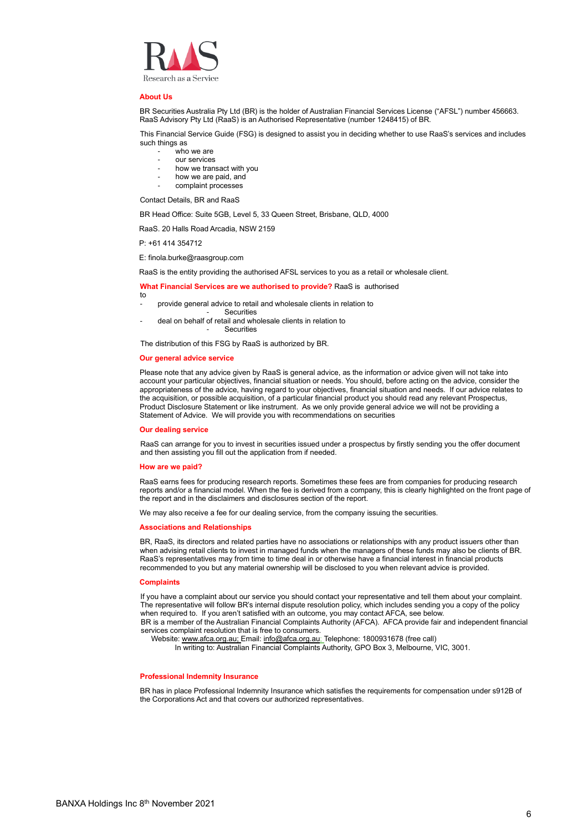

#### **About Us**

BR Securities Australia Pty Ltd (BR) is the holder of Australian Financial Services License ("AFSL") number 456663. RaaS Advisory Pty Ltd (RaaS) is an Authorised Representative (number 1248415) of BR.

This Financial Service Guide (FSG) is designed to assist you in deciding whether to use RaaS's services and includes such things as

- who we are
- our services
- how we transact with you
- how we are paid, and
- complaint processes

Contact Details, BR and RaaS

BR Head Office: Suite 5GB, Level 5, 33 Queen Street, Brisbane, QLD, 4000

RaaS. 20 Halls Road Arcadia, NSW 2159

P: +61 414 354712

E: finola.burke@raasgroup.com

RaaS is the entity providing the authorised AFSL services to you as a retail or wholesale client.

#### **What Financial Services are we authorised to provide?** RaaS is authorised

- to provide general advice to retail and wholesale clients in relation to
- **Securities**
- deal on behalf of retail and wholesale clients in relation to **Securities**

The distribution of this FSG by RaaS is authorized by BR.

## **Our general advice service**

Please note that any advice given by RaaS is general advice, as the information or advice given will not take into account your particular objectives, financial situation or needs. You should, before acting on the advice, consider the appropriateness of the advice, having regard to your objectives, financial situation and needs. If our advice relates to the acquisition, or possible acquisition, of a particular financial product you should read any relevant Prospectus, Product Disclosure Statement or like instrument. As we only provide general advice we will not be providing a Statement of Advice. We will provide you with recommendations on securities

#### **Our dealing service**

RaaS can arrange for you to invest in securities issued under a prospectus by firstly sending you the offer document and then assisting you fill out the application from if needed.

#### **How are we paid?**

RaaS earns fees for producing research reports. Sometimes these fees are from companies for producing research reports and/or a financial model. When the fee is derived from a company, this is clearly highlighted on the front page of the report and in the disclaimers and disclosures section of the report.

We may also receive a fee for our dealing service, from the company issuing the securities.

#### **Associations and Relationships**

BR, RaaS, its directors and related parties have no associations or relationships with any product issuers other than when advising retail clients to invest in managed funds when the managers of these funds may also be clients of BR. RaaS's representatives may from time to time deal in or otherwise have a financial interest in financial products recommended to you but any material ownership will be disclosed to you when relevant advice is provided.

#### **Complaints**

If you have a complaint about our service you should contact your representative and tell them about your complaint. The representative will follow BR's internal dispute resolution policy, which includes sending you a copy of the policy when required to. If you aren't satisfied with an outcome, you may contact AFCA, see below. BR is a member of the Australian Financial Complaints Authority (AFCA). AFCA provide fair and independent financial services complaint resolution that is free to consumers.

Website[: www.afca.org.au;](http://www.afca.org.au/) Email: [info@afca.org.au;](mailto:info@afca.org.au) Telephone: 1800931678 (free call)

In writing to: Australian Financial Complaints Authority, GPO Box 3, Melbourne, VIC, 3001.

#### **Professional Indemnity Insurance**

BR has in place Professional Indemnity Insurance which satisfies the requirements for compensation under s912B of the Corporations Act and that covers our authorized representatives.